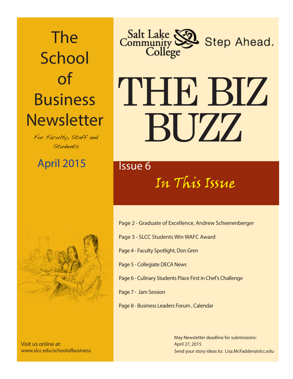## The **School** of Business **Newsletter**

For Faculty, Staff and Students

April 2015 **Issue 6** 



Visit us online at: www.slcc.edu/schoolofbusiness



# THE BIZ BUZZ

## In This Issue

- Page 2 Graduate of Excellence, Andrew Scheerenberger
- Page 3 SLCC Students Win WAFC Award
- Page 4 Faculty Spotlight, Don Gren
- Page 5 Collegiate DECA News
- Page 6 Culinary Students Place First in Chef's Challenge
- Page 7 Jam Session
- Page 8 Business Leaders Forum , Calendar

Send your story ideas to: Lisa.McFadden@slcc.edu May Newsletter deadline for submissions: April 27, 2015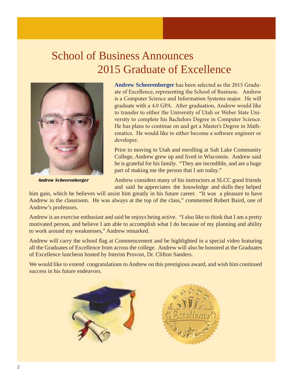## School of Business Announces 2015 Graduate of Excellence



 **Andrew Scheerenberger**

**Andrew Scheerenberger** has been selected as the 2015 Graduate of Excellence, representing the School of Business. Andrew is a Computer Science and Information Systems major. He will graduate with a 4.0 GPA. After graduation, Andrew would like to transfer to either the University of Utah or Weber State University to complete his Bachelors Degree in Computer Science. He has plans to continue on and get a Master's Degree in Mathematics. He would like to either become a software engineer or developer.

Prior to moving to Utah and enrolling at Salt Lake Community College, Andrew grew up and lived in Wisconsin. Andrew said he is grateful for his family. "They are incredible, and are a huge part of making me the person that I am today."

Andrew considers many of his instructors at SLCC good friends and said he appreciates the knowledge and skills they helped

him gain, which he believes will assist him greatly in his future career. "It was a pleasure to have Andrew in the classroom. He was always at the top of the class," commented Robert Baird, one of Andrew's professors.

Andrew is an exercise enthusiast and said he enjoys being active. "I also like to think that I am a pretty motivated person, and believe I am able to accomplish what I do because of my planning and ability to work around my weaknesses," Andrew remarked.

Andrew will carry the school flag at Commencement and be highlighted in a special video featuring all the Graduates of Excellence from across the college. Andrew will also be honored at the Graduates of Excellence luncheon hosted by Interim Provost, Dr. Clifton Sanders.

We would like to extend congratulations to Andrew on this prestigious award, and wish him continued success in his future endeavors.



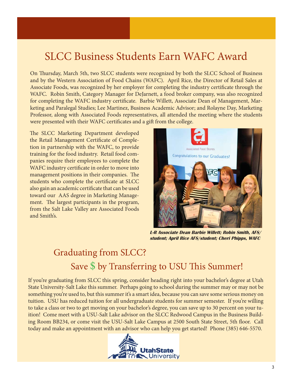## SLCC Business Students Earn WAFC Award

On Thursday, March 5th, two SLCC students were recognized by both the SLCC School of Business and by the Western Association of Food Chains (WAFC). April Rice, the Director of Retail Sales at Associate Foods, was recognized by her employer for completing the industry certificate through the WAFC. Robin Smith, Category Manager for DeJarnett, a food broker company, was also recognized for completing the WAFC industry certificate. Barbie Willett, Associate Dean of Management, Marketing and Paralegal Studies; Lee Martinez, Business Academic Advisor; and Rolayne Day, Marketing Professor, along with Associated Foods representatives, all attended the meeting where the students were presented with their WAFC certificates and a gift from the college.

The SLCC Marketing Department developed the Retail Management Certificate of Completion in partnership with the WAFC, to provide training for the food industry. Retail food companies require their employees to complete the WAFC industry certificate in order to move into management positions in their companies. The students who complete the certificate at SLCC also gain an academic certificate that can be used toward our AAS degree in Marketing Management. The largest participants in the program, from the Salt Lake Valley are Associated Foods and Smith's.



**L-R Associate Dean Barbie Willett; Robin Smith, AFS/ student; April Rice AFS/student; Cheri Phipps, WAFC**

## Graduating from SLCC? Save \$ by Transferring to USU This Summer!

If you're graduating from SLCC this spring, consider heading right into your bachelor's degree at Utah State University-Salt Lake this summer. Perhaps going to school during the summer may or may not be something you're used to, but this summer it's a smart idea, because you can save some serious money on tuition. USU has reduced tuition for all undergraduate students for summer semester. If you're willing to take a class or two to get moving on your bachelor's degree, you can save up to 30 percent on your tuition! Come meet with a USU-Salt Lake advisor on the SLCC Redwood Campus in the Business Building Room BB234, or come visit the USU-Salt Lake Campus at 2500 South State Street, 5th floor. Call today and make an appointment with an advisor who can help you get started! Phone (385) 646-5570.

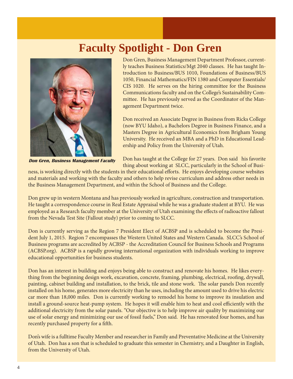## **Faculty Spotlight - Don Gren**



 **Don Gren, Business Management Faculty** 

Don Gren, Business Management Department Professor, currently teaches Business Statistics/Mgt 2040 classes. He has taught Introduction to Business/BUS 1010, Foundations of Business/BUS 1050, Financial Mathematics/FIN 1380 and Computer Essentials/ CIS 1020. He serves on the hiring committee for the Business Communications faculty and on the College's Sustainability Committee. He has previously served as the Coordinator of the Management Department twice.

Don received an Associate Degree in Business from Ricks College (now BYU Idaho), a Bachelors Degree in Business Finance, and a Masters Degree in Agricultural Economics from Brigham Young University. He received an MBA and a PhD in Educational Leadership and Policy from the University of Utah.

Don has taught at the College for 27 years. Don said his favorite thing about working at SLCC, particularly in the School of Busi-

ness, is working directly with the students in their educational efforts. He enjoys developing course websites and materials and working with the faculty and others to help revise curriculum and address other needs in the Business Management Department, and within the School of Business and the College.

Don grew up in western Montana and has previously worked in agriculture, construction and transportation. He taught a correspondence course in Real Estate Appraisal while he was a graduate student at BYU. He was employed as a Research faculty member at the University of Utah examining the effects of radioactive fallout from the Nevada Test Site (Fallout study) prior to coming to SLCC.

Don is currently serving as the Region 7 President Elect of ACBSP and is scheduled to become the President July 1, 2015. Region 7 encompasses the Western United States and Western Canada. SLCC's School of Business programs are accredited by ACBSP - the Accreditation Council for Business Schools and Programs (ACBSP.org). ACBSP is a rapidly growing international organization with individuals working to improve educational opportunities for business students.

Don has an interest in building and enjoys being able to construct and renovate his homes. He likes everything from the beginning design work, excavation, concrete, framing, plumbing, electrical, roofing, drywall, painting, cabinet building and installation, to the brick, tile and stone work. The solar panels Don recently installed on his home, generates more electricity than he uses, including the amount used to drive his electric car more than 18,000 miles. Don is currently working to remodel his home to improve its insulation and install a ground-source heat-pump system. He hopes it will enable him to heat and cool efficiently with the additional electricity from the solar panels. "Our objective is to help improve air quality by maximizing our use of solar energy and minimizing our use of fossil fuels," Don said. He has renovated four homes, and has recently purchased property for a fifth.

Don's wife is a fulltime Faculty Member and researcher in Family and Preventative Medicine at the University of Utah. Don has a son that is scheduled to graduate this semester in Chemistry, and a Daughter in English, from the University of Utah.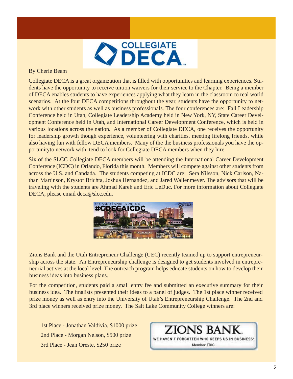

#### By Cherie Beam

Collegiate DECA is a great organization that is filled with opportunities and learning experiences. Students have the opportunity to receive tuition waivers for their service to the Chapter. Being a member of DECA enables students to have experiences applying what they learn in the classroom to real world scenarios. At the four DECA competitions throughout the year, students have the opportunity to network with other students as well as business professionals. The four conferences are: Fall Leadership Conference held in Utah, Collegiate Leadership Academy held in New York, NY, State Career Development Conference held in Utah, and International Career Development Conference, which is held in various locations across the nation. As a member of Collegiate DECA, one receives the opportunity for leadership growth though experience, volunteering with charities, meeting lifelong friends, while also having fun with fellow DECA members. Many of the the business professionals you have the opportunityto network with, tend to look for Collegiate DECA members when they hire.

Six of the SLCC Collegiate DECA members will be attending the International Career Development Conference (ICDC) in Orlando, Florida this month. Members will compete against other students from across the U.S. and Candada. The students competing at ICDC are: Sera Nilsson, Nick Carlson, Nathan Martinson, Krystof Brichta, Joshua Hernandez, and Jared Wallenmeyer. The advisors that will be traveling with the students are Ahmad Kareh and Eric LeDuc. For more information about Collegiate DECA, please email deca@slcc.edu.



Zions Bank and the Utah Entrepreneur Challenge (UEC) recently teamed up to support entrepreneurship across the state. An Entrepreneurship challenge is designed to get students involved in entrepreneurial actives at the local level. The outreach program helps educate students on how to develop their business ideas into business plans.

For the competition, students paid a small entry fee and submitted an executive summary for their business idea. The finalists presented their ideas to a panel of judges. The 1st place winner received prize money as well as entry into the University of Utah's Entrepreneurship Challenge. The 2nd and 3rd place winners received prize money. The Salt Lake Community College winners are:

 1st Place - Jonathan Valdivia, \$1000 prize 2nd Place - Morgan Nelson, \$500 prize 3rd Place - Jean Oreste, \$250 prize

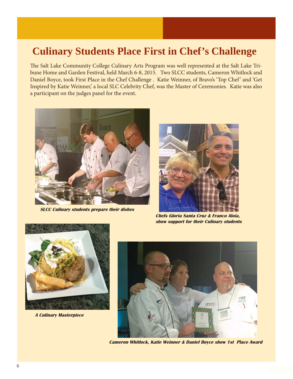### **Culinary Students Place First in Chef's Challenge**

The Salt Lake Community College Culinary Arts Program was well represented at the Salt Lake Tribune Home and Garden Festival, held March 6-8, 2015. Two SLCC students, Cameron Whitlock and Daniel Boyce, took First Place in the Chef Challenge . Katie Weinner, of Bravo's 'Top Chef' and 'Get Inspired by Katie Weinner,' a local SLC Celebrity Chef, was the Master of Ceremonies. Katie was also a participant on the judges panel for the event.



**SLCC Culinary students prepare their dishes**



**Chefs Gloria Santa Cruz & Franco Aloia, show support for their Culinary students**



**A Culinary Masterpiece**



**Cameron Whitlock, Katie Weinner & Daniel Boyce show 1st Place Award**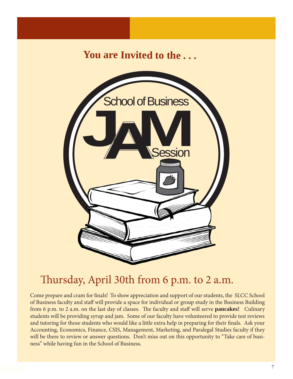## **You are Invited to the . . .**



## Thursday, April 30th from 6 p.m. to 2 a.m.

Come prepare and cram for finals! To show appreciation and support of our students, the SLCC School of Business faculty and staff will provide a space for individual or group study in the Business Building from 6 p.m. to 2 a.m. on the last day of classes. The faculty and staff will serve **pancakes!** Culinary students will be providing syrup and jam. Some of our faculty have volunteered to provide test reviews and tutoring for those students who would like a little extra help in preparing for their finals. Ask your Accounting, Economics, Finance, CSIS, Management, Marketing, and Paralegal Studies faculty if they will be there to review or answer questions. Don't miss out on this opportunity to "Take care of business" while having fun in the School of Business.